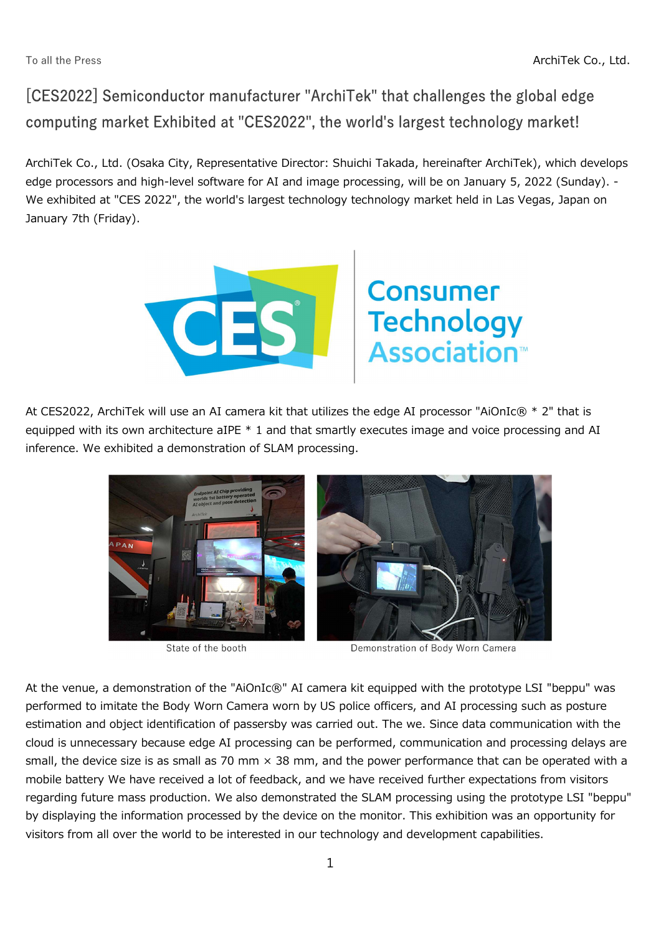# [CES2022] Semiconductor manufacturer "ArchiTek" that challenges the global edge computing market Exhibited at "CES2022", the world's largest technology market!

ArchiTek Co., Ltd. (Osaka City, Representative Director: Shuichi Takada, hereinafter ArchiTek), which develops edge processors and high-level software for AI and image processing, will be on January 5, 2022 (Sunday). - We exhibited at "CES 2022", the world's largest technology technology market held in Las Vegas, Japan on January 7th (Friday).



# **Consumer** Technology<br>Association<sup>®</sup>

At CES2022, ArchiTek will use an AI camera kit that utilizes the edge AI processor "AiOnIc® \* 2" that is equipped with its own architecture aIPE \* 1 and that smartly executes image and voice processing and AI inference. We exhibited a demonstration of SLAM processing.



State of the booth



Demonstration of Body Worn Camera

At the venue, a demonstration of the "AiOnIc®" AI camera kit equipped with the prototype LSI "beppu" was performed to imitate the Body Worn Camera worn by US police officers, and AI processing such as posture estimation and object identification of passersby was carried out. The we. Since data communication with the cloud is unnecessary because edge AI processing can be performed, communication and processing delays are small, the device size is as small as 70 mm  $\times$  38 mm, and the power performance that can be operated with a mobile battery We have received a lot of feedback, and we have received further expectations from visitors regarding future mass production. We also demonstrated the SLAM processing using the prototype LSI "beppu" by displaying the information processed by the device on the monitor. This exhibition was an opportunity for visitors from all over the world to be interested in our technology and development capabilities.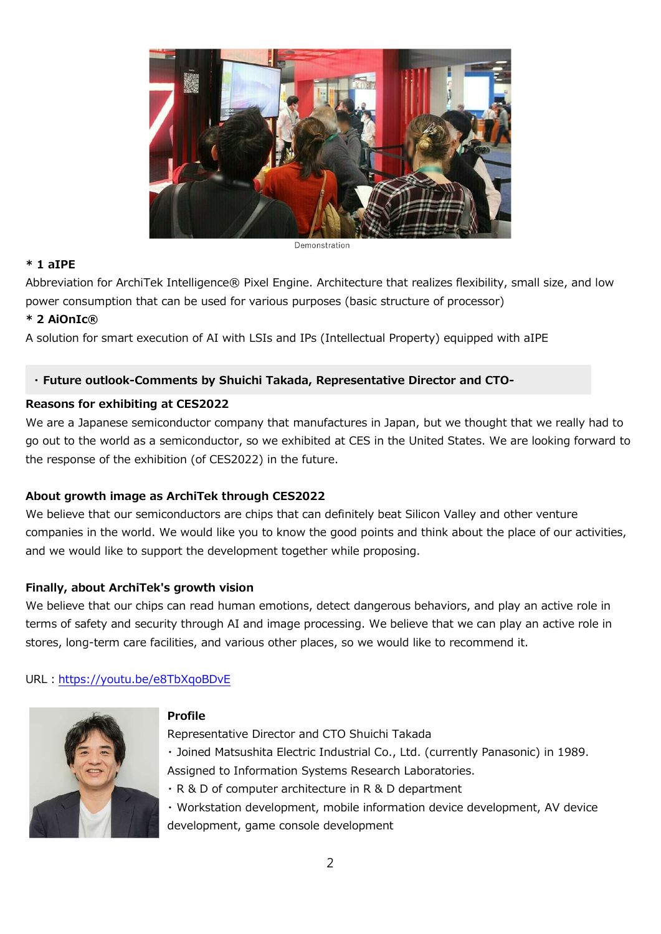

Demonstration

#### \* 1 aIPE

Abbreviation for ArchiTek Intelligence® Pixel Engine. Architecture that realizes flexibility, small size, and low power consumption that can be used for various purposes (basic structure of processor)

#### \* 2 AiOnIc®

A solution for smart execution of AI with LSIs and IPs (Intellectual Property) equipped with aIPE

#### ・ Future outlook-Comments by Shuichi Takada, Representative Director and CTO-

#### Reasons for exhibiting at CES2022

We are a Japanese semiconductor company that manufactures in Japan, but we thought that we really had to go out to the world as a semiconductor, so we exhibited at CES in the United States. We are looking forward to the response of the exhibition (of CES2022) in the future.

## About growth image as ArchiTek through CES2022

We believe that our semiconductors are chips that can definitely beat Silicon Valley and other venture companies in the world. We would like you to know the good points and think about the place of our activities, and we would like to support the development together while proposing.

## Finally, about ArchiTek's growth vision

We believe that our chips can read human emotions, detect dangerous behaviors, and play an active role in terms of safety and security through AI and image processing. We believe that we can play an active role in stores, long-term care facilities, and various other places, so we would like to recommend it.

#### URL:https://youtu.be/e8TbXqoBDvE



#### Profile

Representative Director and CTO Shuichi Takada ・ Joined Matsushita Electric Industrial Co., Ltd. (currently Panasonic) in 1989. Assigned to Information Systems Research Laboratories.

- ・ R & D of computer architecture in R & D department
- ・ Workstation development, mobile information device development, AV device development, game console development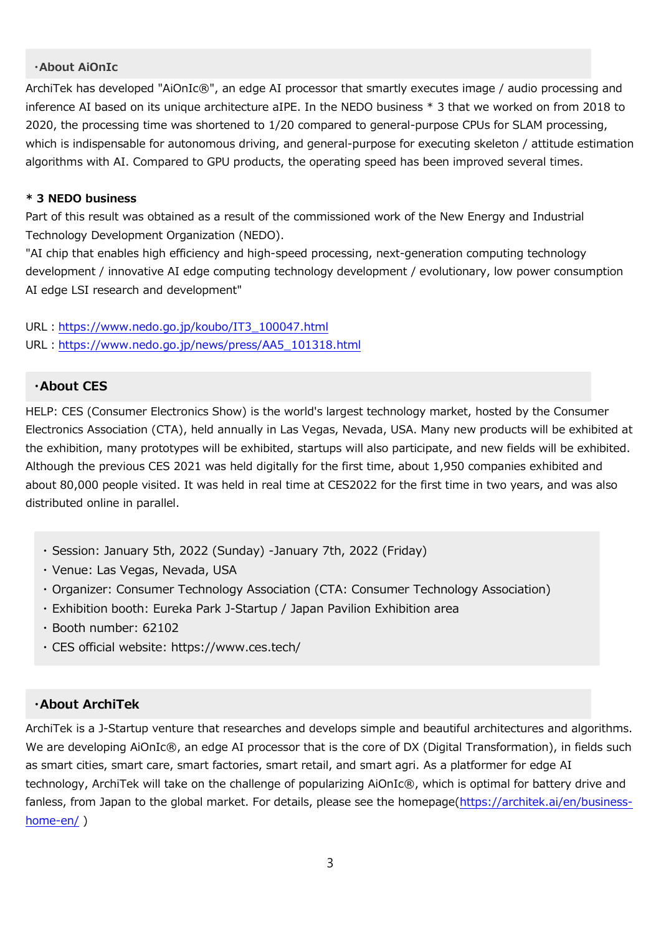#### ・About AiOnIc

ArchiTek has developed "AiOnIc®", an edge AI processor that smartly executes image / audio processing and inference AI based on its unique architecture aIPE. In the NEDO business \* 3 that we worked on from 2018 to 2020, the processing time was shortened to 1/20 compared to general-purpose CPUs for SLAM processing, which is indispensable for autonomous driving, and general-purpose for executing skeleton / attitude estimation algorithms with AI. Compared to GPU products, the operating speed has been improved several times.

#### \* 3 NEDO business

Part of this result was obtained as a result of the commissioned work of the New Energy and Industrial Technology Development Organization (NEDO).

"AI chip that enables high efficiency and high-speed processing, next-generation computing technology development / innovative AI edge computing technology development / evolutionary, low power consumption AI edge LSI research and development"

URL:https://www.nedo.go.jp/koubo/IT3\_100047.html URL:https://www.nedo.go.jp/news/press/AA5\_101318.html

#### ・About CES

HELP: CES (Consumer Electronics Show) is the world's largest technology market, hosted by the Consumer Electronics Association (CTA), held annually in Las Vegas, Nevada, USA. Many new products will be exhibited at the exhibition, many prototypes will be exhibited, startups will also participate, and new fields will be exhibited. Although the previous CES 2021 was held digitally for the first time, about 1,950 companies exhibited and about 80,000 people visited. It was held in real time at CES2022 for the first time in two years, and was also distributed online in parallel.

- ・ Session: January 5th, 2022 (Sunday) -January 7th, 2022 (Friday)
- ・ Venue: Las Vegas, Nevada, USA
- ・ Organizer: Consumer Technology Association (CTA: Consumer Technology Association)
- ・ Exhibition booth: Eureka Park J-Startup / Japan Pavilion Exhibition area
- ・ Booth number: 62102
- ・ CES official website: https://www.ces.tech/

# ・About ArchiTek

ArchiTek is a J-Startup venture that researches and develops simple and beautiful architectures and algorithms. We are developing AiOnIc®, an edge AI processor that is the core of DX (Digital Transformation), in fields such as smart cities, smart care, smart factories, smart retail, and smart agri. As a platformer for edge AI technology, ArchiTek will take on the challenge of popularizing AiOnIc®, which is optimal for battery drive and fanless, from Japan to the global market. For details, please see the homepage(https://architek.ai/en/businesshome-en/ )